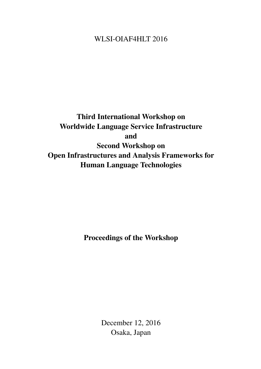## <span id="page-0-0"></span>WLSI-OIAF4HLT 2016

# Third International Workshop on Worldwide Language Service Infrastructure and Second Workshop on Open Infrastructures and Analysis Frameworks for Human Language Technologies

Proceedings of the Workshop

December 12, 2016 Osaka, Japan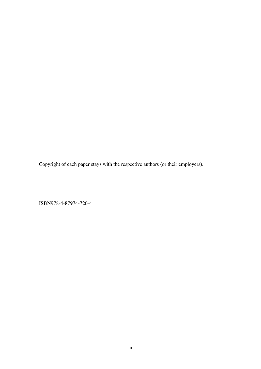Copyright of each paper stays with the respective authors (or their employers).

ISBN978-4-87974-720-4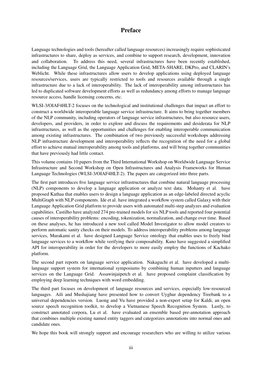### Preface

Language technologies and tools (hereafter called language resources) increasingly require sophisticated infrastructures to share, deploy as services, and combine to support research, development, innovation and collaboration. To address this need, several infrastructures have been recently established, including the Language Grid, the Language Application Grid, META-SHARE, DKPro, and CLARIN's Weblicht. While these infrastructures allow users to develop applications using deployed language resources/services, users are typically restricted to tools and resources available through a single infrastructure due to a lack of interoperability. The lack of interoperability among infrastructures has led to duplicated software development efforts as well as redundancy among efforts to manage language resource access, handle licensing concerns, etc.

WLSI-3/OIAF4HLT-2 focuses on the technological and institutional challenges that impact an effort to construct a worldwide interoperable language service infrastructure. It aims to bring together members of the NLP community, including operators of language service infrastructures, but also resource users, developers, and providers, in order to explore and discuss the requirements and desiderata for NLP infrastructures, as well as the opportunities and challenges for enabling interoperable communication among existing infrastructures. The combination of two previously successful workshops addressing NLP infrastructure development and interoperability reflects the recognition of the need for a global effort to achieve mutual interoperability among tools and platforms, and will bring together communities that have previously had little contact.

This volume contains 10 papers from the Third International Workshop on Worldwide Language Service Infrastructure and Second Workshop on Open Infrastructures and Analysis Frameworks for Human Language Technologies (WLSI-3/OIAF4HLT-2). The papers are categorized into three parts.

The first part introduces five language service infrastructures that combine natural language processing (NLP) components to develop a language application or analyze text data. Mohanty et al. have proposed Kathaa that enables users to design a language application as an edge-labeled directed acyclic MultiGraph with NLP components. Ide et al. have integrated a workflow system called Galaxy with their Language Application Grid platform to provide users with automated multi-step analyzes and evaluation capabilities. Castilho have analyzed 274 pre-trained models for six NLP tools and reported four potential causes of interoperability problems: encoding, tokenization, normalization, and change over time. Based on these analyses, he has introduced a new tool called Model Investigator to allow model creators to perform automatic sanity checks on their models. To address interoperability problems among language services, Murakami et al. have designed Language Service ontology that enables uses to freely bind language services to a workflow while verifying their composability. Kano have suggested a simplified API for interoperability in order for the developers to more easily employ the functions of Kachako platform.

The second part reports on language service application. Nakaguchi et al. have developed a multilanguage support system for international symposiums by combining human inputters and language services on the Language Grid. Assawinjaipetch et al. have proposed complaint classification by employing deep learning techniques with word embedding.

The third part focuses on development of language resources and services, especially low-resourced languages. Aili and Mushajiang have presented how to convert Uyghur dependency Treebank to a universal dependencies version. Luong and Vu have provided a non-expert setup for Kaldi, an open source speech recognition toolkit, to develop a Vietnamese Speech Recognition System. Lastly, to construct annotated corpora, Lu et al. have evaluated an ensemble based pre-annotation approach that combines multiple existing named entity taggers and categorizes annotations into normal ones and candidate ones.

We hope this book will strongly support and encourage researchers who are willing to utilize various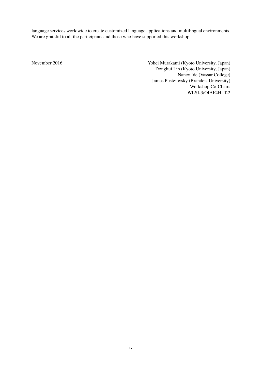language services worldwide to create customized language applications and multilingual environments. We are grateful to all the participants and those who have supported this workshop.

November 2016 Yohei Murakami (Kyoto University, Japan) Donghui Lin (Kyoto University, Japan) Nancy Ide (Vassar College) James Pustejovsky (Brandeis University) Workshop Co-Chairs WLSI-3/OIAF4HLT-2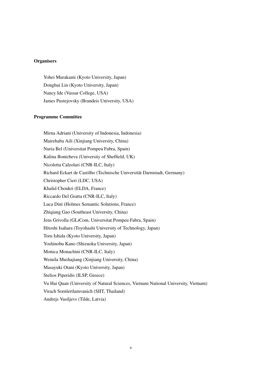### **Organisers**

Yohei Murakami (Kyoto University, Japan) Donghui Lin (Kyoto University, Japan) Nancy Ide (Vassar College, USA) James Pustejovsky (Brandeis University, USA)

#### Programme Committee

Mirna Adriani (University of Indonesia, Indonesia) Mairehaba Aili (Xinjiang University, China) Nuria Bel (Universitat Pompeu Fabra, Spain) Kalina Bontcheva (University of Sheffield, UK) Nicoletta Calzolari (CNR-ILC, Italy) Richard Eckart de Castilho (Technische Universität Darmstadt, Germany) Christopher Cieri (LDC, USA) Khalid Choukri (ELDA, France) Riccardo Del Gratta (CNR-ILC, Italy) Luca Dini (Holmes Semantic Solutions, France) Zhiqiang Gao (Southeast University, China) Jens Grivolla (GLiCom, Universitat Pompeu Fabra, Spain) Hitoshi Isahara (Toyohashi University of Technology, Japan) Toru Ishida (Kyoto University, Japan) Yoshinobu Kano (Shizuoka University, Japan) Monica Monachini (CNR-ILC, Italy) Weinila Mushajiang (Xinjiang University, China) Masayuki Otani (Kyoto University, Japan) Stelios Piperidis (ILSP, Greece) Vu Hai Quan (University of Natural Sciences, Vietnam National University, Vietnam) Virach Sornlertlamvanich (SIIT, Thailand) Andrejs Vasiljevs (Tilde, Latvia)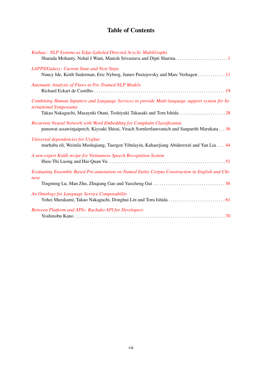# Table of Contents

| Kathaa: NLP Systems as Edge-Labeled Directed Acyclic MultiGraphs                                                                                                                                     |
|------------------------------------------------------------------------------------------------------------------------------------------------------------------------------------------------------|
| LAPPS/Galaxy: Current State and Next Steps<br>Nancy Ide, Keith Suderman, Eric Nyberg, James Pustejovsky and Marc Verhagen  11                                                                        |
| Automatic Analysis of Flaws in Pre-Trained NLP Models                                                                                                                                                |
| Combining Human Inputters and Language Services to provide Multi-language support system for In-<br>ternational Symposiums<br>Takao Nakaguchi, Masayuki Otani, Toshiyuki Takasaki and Toru Ishida 28 |
| Recurrent Neural Network with Word Embedding for Complaint Classification<br>panuwat assawinjaipetch, Kiyoaki Shirai, Virach Sornlertlamvanich and Sanparith Marukata 36                             |
| Universal dependencies for Uyghur<br>marhaba eli, Weinila Mushajiang, Tuergen Yibulayin, Kahaerjiang Abiderexiti and Yan Liu 44                                                                      |
| A non-expert Kaldi recipe for Vietnamese Speech Recognition System                                                                                                                                   |
| Evaluating Ensemble Based Pre-annotation on Named Entity Corpus Construction in English and Chi-<br>nese                                                                                             |
| An Ontology for Language Service Composability                                                                                                                                                       |
| Between Platform and APIs: Kachako API for Developers                                                                                                                                                |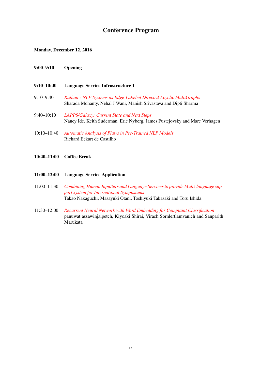### Conference Program

### Monday, December 12, 2016

- 9:00–9:10 Opening
- 9:10–10:40 Language Service Infrastructure 1
- 9:10–9:40 *[Kathaa : NLP Systems as Edge-Labeled Directed Acyclic MultiGraphs](#page-0-0)* Sharada Mohanty, Nehal J Wani, Manish Srivastava and Dipti Sharma
- 9:40–10:10 *[LAPPS/Galaxy: Current State and Next Steps](#page-0-0)* Nancy Ide, Keith Suderman, Eric Nyberg, James Pustejovsky and Marc Verhagen
- 10:10–10:40 *[Automatic Analysis of Flaws in Pre-Trained NLP Models](#page-0-0)* Richard Eckart de Castilho
- 10:40–11:00 Coffee Break
- 11:00–12:00 Language Service Application
- 11:00–11:30 *[Combining Human Inputters and Language Services to provide Multi-language sup](#page-0-0)[port system for International Symposiums](#page-0-0)* Takao Nakaguchi, Masayuki Otani, Toshiyuki Takasaki and Toru Ishida
- 11:30–12:00 *[Recurrent Neural Network with Word Embedding for Complaint Classification](#page-0-0)* panuwat assawinjaipetch, Kiyoaki Shirai, Virach Sornlertlamvanich and Sanparith Marukata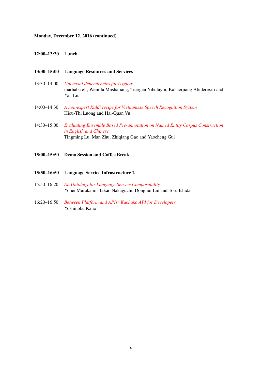### Monday, December 12, 2016 (continued)

#### 12:00–13:30 Lunch

### 13:30–15:00 Language Resources and Services

- 13:30–14:00 *[Universal dependencies for Uyghur](#page-0-0)* marhaba eli, Weinila Mushajiang, Tuergen Yibulayin, Kahaerjiang Abiderexiti and Yan Liu
- 14:00–14:30 *[A non-expert Kaldi recipe for Vietnamese Speech Recognition System](#page-0-0)* Hieu-Thi Luong and Hai-Quan Vu
- 14:30–15:00 *[Evaluating Ensemble Based Pre-annotation on Named Entity Corpus Construction](#page-0-0) [in English and Chinese](#page-0-0)* Tingming Lu, Man Zhu, Zhiqiang Gao and Yaocheng Gui
- 15:00–15:50 Demo Session and Coffee Break
- 15:50–16:50 Language Service Infrastructure 2
- 15:50–16:20 *[An Ontology for Language Service Composability](#page-0-0)* Yohei Murakami, Takao Nakaguchi, Donghui Lin and Toru Ishida
- 16:20–16:50 *[Between Platform and APIs: Kachako API for Developers](#page-0-0)* Yoshinobu Kano